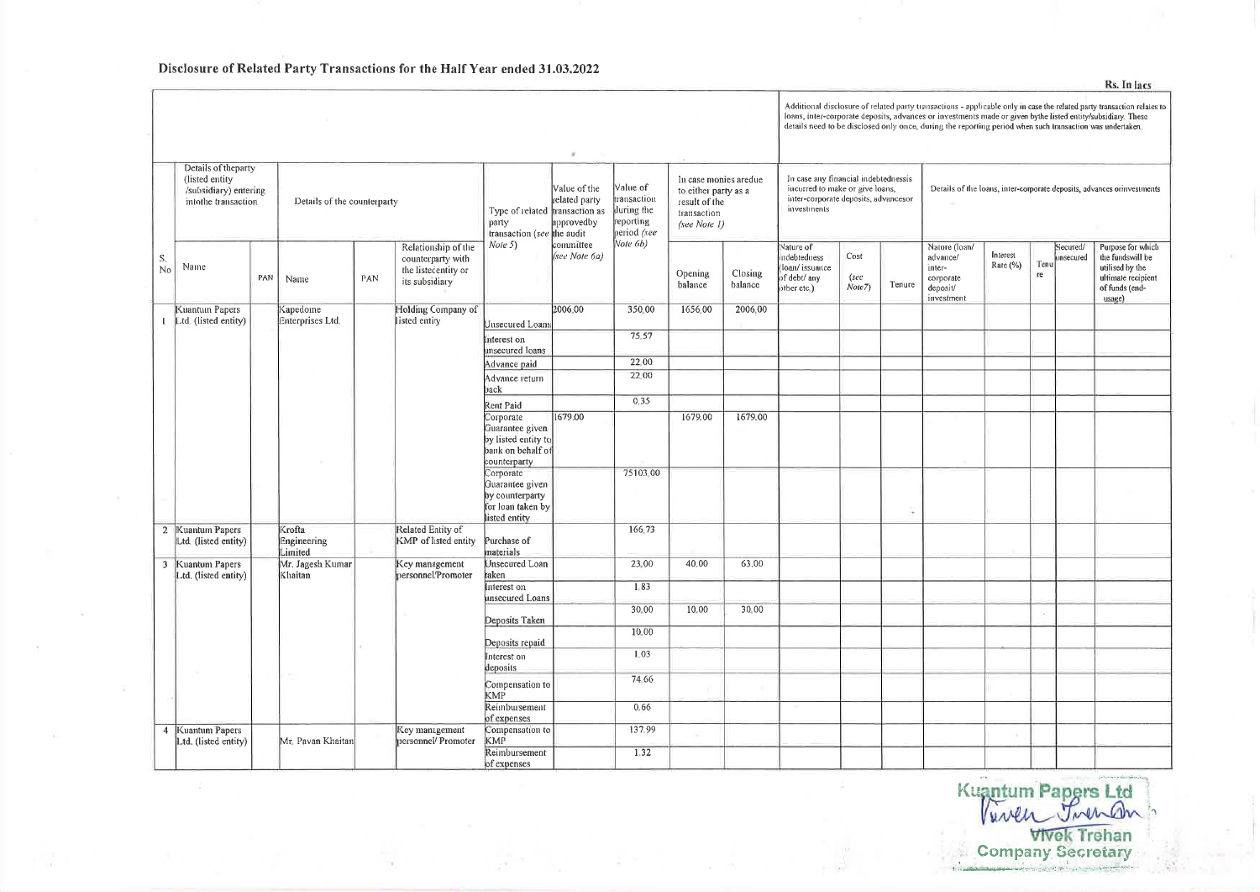Disclosure of Related Party Transactions for the Half Year ended 31.03.2022

of expenses Compensation to

of expenses

Reimbursement

Key management

personnel/Promoter

Mr. Pavan Khaitan

137,99

 $1,32$ 

Details of theparty (listed entity)<br>(listed entity)<br>/subsidiary) entering intothe transaction

Kuantun Papers  $L$  Ltd, (listed entity)

2 Kuantum Papers<br>Ltd. (listed entity) 3 Kuantum Papers Ltd. (listed entity)

4 Kuantum Papers

Ltd. (listed entity)

 $\Big| \begin{array}{c} S. \\ \text{No} \end{array}$ Name

| ing<br>n | Details of the counterparty      |     |                                                                                   | Type of related transaction as<br>party<br>transaction (see the audit                    | Value of the<br>related party<br>approvedby | Value of<br>transaction<br>during the<br>reporting<br>period (see | In case monies aredue<br>to either party as a<br>result of the<br>transaction<br>(see Note 1) |                    | In case any financial indebtednessis<br>incurred to make or give loans,<br>inter-corporate deposits, advancesor<br>investments |                         |        | Details of the loans, inter-corporate deposits, advances or investments    |                         |            |                       |                                                                                                            |  |
|----------|----------------------------------|-----|-----------------------------------------------------------------------------------|------------------------------------------------------------------------------------------|---------------------------------------------|-------------------------------------------------------------------|-----------------------------------------------------------------------------------------------|--------------------|--------------------------------------------------------------------------------------------------------------------------------|-------------------------|--------|----------------------------------------------------------------------------|-------------------------|------------|-----------------------|------------------------------------------------------------------------------------------------------------|--|
| PAN      | Name                             | PAN | Relationship of the<br>counterparty with<br>the listedentity or<br>its subsidiary | Note 5)                                                                                  | committee<br>(see Note 6a)                  | Note $(b)$                                                        | Opening<br>balance                                                                            | Closing<br>balance | Nature of<br>indebtedness<br>(loan/issuance<br>of debt/ any<br>other etc.)                                                     | Cost<br>(see<br>Note 7) | Tenure | Nature (loan/<br>advance/<br>inter-<br>corporate<br>deposit/<br>investment | Interest<br>Rate $(\%)$ | Tenu<br>re | Secured/<br>unsecured | Purpose for which<br>the fundswill be<br>utilised by the<br>ultimate recipient<br>of funds (end-<br>usage) |  |
|          | Kapedome<br>Enterprises Ltd.     |     | Holding Company of<br>listed entity                                               | Unsecured Loans                                                                          | 2006.00                                     | 350.00                                                            | 1656.00                                                                                       | 2006.00            |                                                                                                                                |                         |        |                                                                            |                         |            |                       |                                                                                                            |  |
|          |                                  |     |                                                                                   | nterest on<br>unsecured loans                                                            |                                             | 75.57                                                             |                                                                                               |                    |                                                                                                                                |                         |        |                                                                            |                         |            |                       |                                                                                                            |  |
|          |                                  |     |                                                                                   | Advance paid                                                                             |                                             | 22.00                                                             |                                                                                               |                    |                                                                                                                                |                         |        |                                                                            |                         |            |                       |                                                                                                            |  |
|          |                                  |     |                                                                                   | Advance return<br>back                                                                   |                                             | 22.00                                                             |                                                                                               |                    |                                                                                                                                |                         |        |                                                                            |                         |            |                       |                                                                                                            |  |
|          |                                  |     |                                                                                   | Rent Paid                                                                                |                                             | 0.35                                                              |                                                                                               |                    |                                                                                                                                |                         |        |                                                                            |                         |            |                       |                                                                                                            |  |
|          |                                  |     |                                                                                   | Corporate<br>Guarantee given<br>by listed entity to<br>bank on behalf of<br>counterparty | 1679.00                                     |                                                                   | 1679.00                                                                                       | 1679.00            |                                                                                                                                |                         |        |                                                                            |                         |            |                       |                                                                                                            |  |
|          |                                  |     |                                                                                   | Corporate<br>Guarantee given<br>by counterparty<br>for loan taken by<br>listed entity    |                                             | 75103 00                                                          |                                                                                               |                    |                                                                                                                                |                         | 6      |                                                                            |                         |            |                       |                                                                                                            |  |
|          | Krofta<br>Engineering<br>Limited |     | Related Entity of<br>KMP of listed entity                                         | Purchase of<br>materials                                                                 |                                             | 166.73                                                            |                                                                                               |                    |                                                                                                                                |                         |        |                                                                            |                         |            |                       |                                                                                                            |  |
|          | Mr. Jagesh Kumar<br>Khaitan      |     | Key management<br>personnel/Promoter                                              | Unsecured Loan<br>taken                                                                  |                                             | 23.00                                                             | 40.00                                                                                         | 63.00              |                                                                                                                                |                         |        |                                                                            |                         |            |                       |                                                                                                            |  |
|          |                                  |     |                                                                                   | Interest on<br>unsecured Loans                                                           |                                             | 1.83                                                              |                                                                                               |                    |                                                                                                                                |                         |        |                                                                            |                         |            |                       |                                                                                                            |  |
|          |                                  |     |                                                                                   | Deposits Taken                                                                           |                                             | 30.00                                                             | 10.00                                                                                         | 30.00              |                                                                                                                                |                         |        |                                                                            |                         |            |                       |                                                                                                            |  |
|          |                                  |     |                                                                                   |                                                                                          |                                             | 10.00                                                             |                                                                                               |                    |                                                                                                                                |                         |        |                                                                            |                         |            |                       |                                                                                                            |  |
|          |                                  |     |                                                                                   | Deposits repaid<br>Interest on<br>deposits                                               |                                             | 1.03                                                              |                                                                                               |                    |                                                                                                                                |                         |        |                                                                            |                         |            |                       |                                                                                                            |  |
|          |                                  |     |                                                                                   | Compensation to<br>KMP                                                                   |                                             | 74.66                                                             |                                                                                               |                    |                                                                                                                                |                         |        |                                                                            |                         |            |                       |                                                                                                            |  |
|          |                                  |     |                                                                                   | Reimbursement                                                                            |                                             | 0.66                                                              |                                                                                               |                    |                                                                                                                                |                         |        |                                                                            |                         |            |                       |                                                                                                            |  |

Additional disclosure of related party transactions - applicable only in case the related party transaction relates to Figure 1 composed deposits, advances or investments made or given bythe listed entity/subsidiary. These loans, inter-corporate deposits, advances or investments made or given bythe listed entity/subsidiary. These details n

Rs. In lacs

Kuantum Papers Ltd<br>Vivel Trehan<br>Company Secretary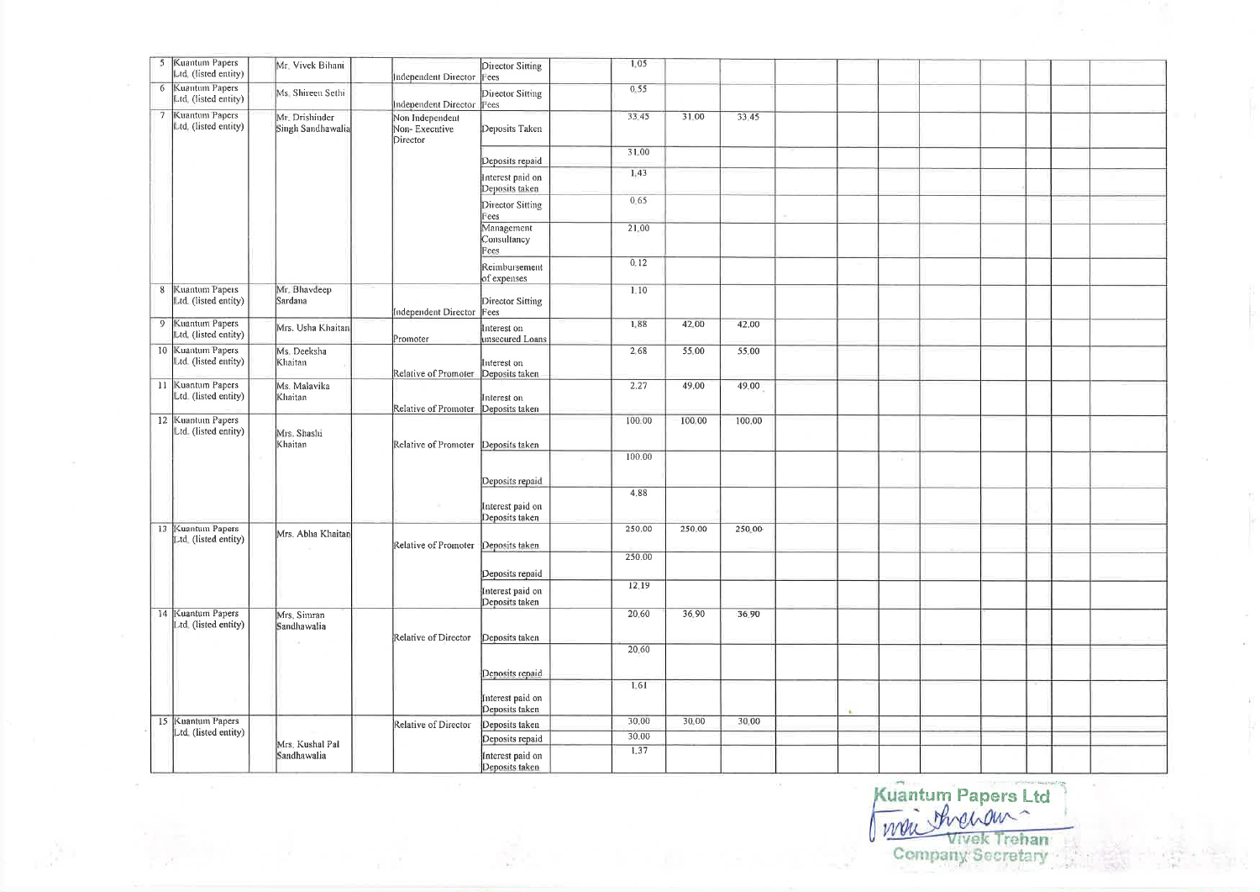|                | 5 Kuantum Papers<br>Ltd. (listed entity)  | Mr. Vivek Bihani                    | Independent Director                                           | Director Sitting<br>Fees           | 1,05   |        |        |  |            |  |  |  |
|----------------|-------------------------------------------|-------------------------------------|----------------------------------------------------------------|------------------------------------|--------|--------|--------|--|------------|--|--|--|
| 6              | Kuantum Papers<br>Itd. (listed entity)    | Ms Shireen Sethi                    |                                                                | Director Sitting                   | 0.55   |        |        |  |            |  |  |  |
| $\overline{7}$ | Kuantum Papers<br>Ltd, (listed entity)    | Mr. Drishinder<br>Singh Sandhawalia | independent Director liees<br>Non Independent<br>Non-Executive | Deposits Taken                     | 33 45  | 31.00  | 33.45  |  |            |  |  |  |
|                |                                           |                                     | Director                                                       | Deposits repaid                    | 31.00  |        |        |  |            |  |  |  |
|                |                                           |                                     |                                                                | nterest paid on                    | 1.43   |        |        |  |            |  |  |  |
|                |                                           |                                     |                                                                | Deposits taken<br>Director Sitting | 0.65   |        |        |  |            |  |  |  |
|                |                                           |                                     |                                                                | ees                                |        |        |        |  |            |  |  |  |
|                |                                           |                                     |                                                                | Management<br>Consultancy<br>ees   | 21.00  |        |        |  |            |  |  |  |
|                |                                           |                                     |                                                                | Reimbursement<br>of expenses       | 0.12   |        |        |  |            |  |  |  |
| $8\phantom{1}$ | Kuantum Papers                            | Mr. Bhavdeep                        |                                                                |                                    | 1.10   |        |        |  |            |  |  |  |
|                | Ltd. (listed entity)                      | Sardana                             | Independent Director                                           | Director Sitting<br>Fees           |        |        |        |  |            |  |  |  |
| $\overline{9}$ | Kuantum Papers                            | Mrs. Usha Khaitan                   |                                                                | nterest on                         | 1.88   | 42.00  | 42,00  |  |            |  |  |  |
|                | Ltd. (listed entity)                      |                                     | Promoter                                                       | insecured Loans                    |        |        |        |  |            |  |  |  |
|                | 10 Kuantum Papers<br>Ltd. (listed entity) | Ms. Deeksha<br>Khaitan              |                                                                | nterest on                         | 2.68   | 55.00  | 55,00  |  |            |  |  |  |
|                |                                           |                                     | Relative of Promoter                                           | Deposits taken                     |        |        |        |  |            |  |  |  |
|                | 11 Kuantum Papers<br>Ltd. (listed entity) | Ms. Malavika<br>Khaitan             |                                                                | Interest on                        | 2.27   | 49.00  | 49.00  |  |            |  |  |  |
|                | 12 Kuantum Papers                         |                                     | Relative of Promoter Deposits taken                            |                                    | 100.00 | 100.00 | 100.00 |  |            |  |  |  |
|                | Ltd. (listed entity)                      | Mrs. Shashi<br>Khaitan              | Relative of Promoter Deposits taken                            |                                    |        |        |        |  |            |  |  |  |
|                |                                           |                                     |                                                                |                                    | 100.00 |        |        |  | <b>COL</b> |  |  |  |
|                |                                           |                                     |                                                                | Deposits repaid                    |        |        |        |  |            |  |  |  |
|                |                                           |                                     |                                                                |                                    | 4.88   |        |        |  |            |  |  |  |
|                |                                           |                                     |                                                                | interest paid on<br>Deposits taken |        |        |        |  |            |  |  |  |
|                | 13 Kuantum Papers                         | Mrs. Abha Khaitan                   | Relative of Promoter                                           |                                    | 250.00 | 250.00 | 250.00 |  |            |  |  |  |
|                | Ltd. (listed entity)                      |                                     |                                                                | Deposits taken                     |        |        |        |  |            |  |  |  |
|                |                                           |                                     |                                                                |                                    | 250.00 |        |        |  |            |  |  |  |
|                |                                           |                                     |                                                                | Deposits repaid                    |        |        |        |  |            |  |  |  |
|                |                                           |                                     |                                                                | interest paid on<br>Deposits taken | 12.19  |        |        |  |            |  |  |  |
|                | 14 Kuantum Papers<br>Ltd. (listed entity) | Mrs. Simran<br>Sandhawalia          |                                                                |                                    | 20,60  | 36.90  | 36.90  |  |            |  |  |  |
|                |                                           |                                     | Relative of Director                                           | Deposits taken                     |        |        |        |  |            |  |  |  |
|                |                                           |                                     |                                                                |                                    | 20.60  |        |        |  |            |  |  |  |
|                |                                           |                                     |                                                                | Deposits repaid                    |        |        |        |  |            |  |  |  |
|                |                                           |                                     |                                                                |                                    | 1.61   |        |        |  |            |  |  |  |
|                |                                           |                                     |                                                                | interest paid on<br>Deposits taken |        |        |        |  |            |  |  |  |
|                | 15 Kuantum Papers                         |                                     | Relative of Director                                           | Deposits taken                     | 30.00  | 30.00  | 30.00  |  |            |  |  |  |
|                | Ltd. (listed entity)                      | Mrs. Kushal Pal                     |                                                                | Deposits repaid                    | 30.00  |        |        |  |            |  |  |  |
|                |                                           | Sandhawalia                         |                                                                | Interest paid on<br>Deposits taken | 1.37   |        |        |  |            |  |  |  |

Kuantum Papers Ltd

 $\sim$ 

 $\widetilde{\Delta}$  ).

 $\mathbf{k}$